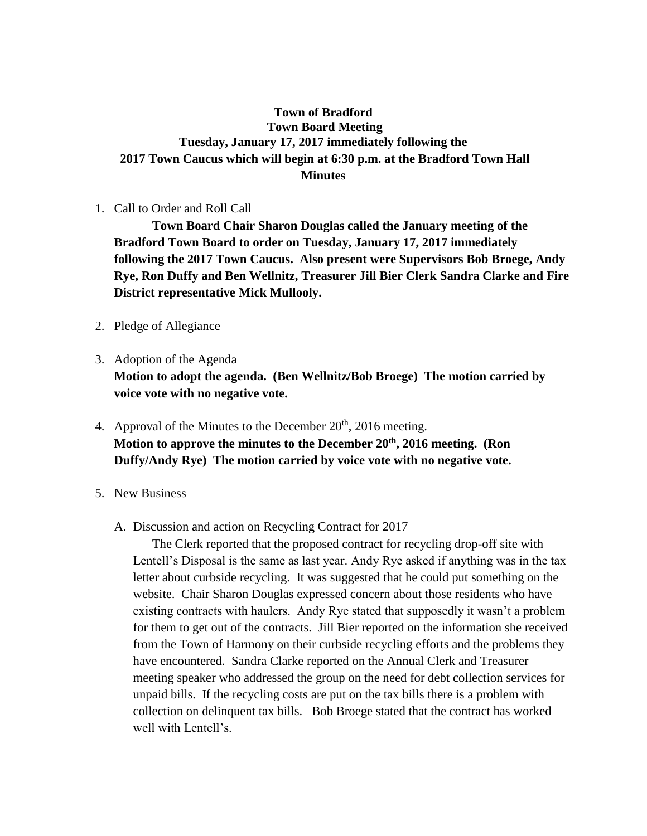## **Town of Bradford Town Board Meeting Tuesday, January 17, 2017 immediately following the 2017 Town Caucus which will begin at 6:30 p.m. at the Bradford Town Hall Minutes**

1. Call to Order and Roll Call

**Town Board Chair Sharon Douglas called the January meeting of the Bradford Town Board to order on Tuesday, January 17, 2017 immediately following the 2017 Town Caucus. Also present were Supervisors Bob Broege, Andy Rye, Ron Duffy and Ben Wellnitz, Treasurer Jill Bier Clerk Sandra Clarke and Fire District representative Mick Mullooly.**

- 2. Pledge of Allegiance
- 3. Adoption of the Agenda

**Motion to adopt the agenda. (Ben Wellnitz/Bob Broege) The motion carried by voice vote with no negative vote.**

- 4. Approval of the Minutes to the December  $20<sup>th</sup>$ ,  $2016$  meeting. **Motion to approve the minutes to the December 20th, 2016 meeting. (Ron Duffy/Andy Rye) The motion carried by voice vote with no negative vote.**
- 5. New Business
	- A. Discussion and action on Recycling Contract for 2017

The Clerk reported that the proposed contract for recycling drop-off site with Lentell's Disposal is the same as last year. Andy Rye asked if anything was in the tax letter about curbside recycling. It was suggested that he could put something on the website. Chair Sharon Douglas expressed concern about those residents who have existing contracts with haulers. Andy Rye stated that supposedly it wasn't a problem for them to get out of the contracts. Jill Bier reported on the information she received from the Town of Harmony on their curbside recycling efforts and the problems they have encountered. Sandra Clarke reported on the Annual Clerk and Treasurer meeting speaker who addressed the group on the need for debt collection services for unpaid bills. If the recycling costs are put on the tax bills there is a problem with collection on delinquent tax bills. Bob Broege stated that the contract has worked well with Lentell's.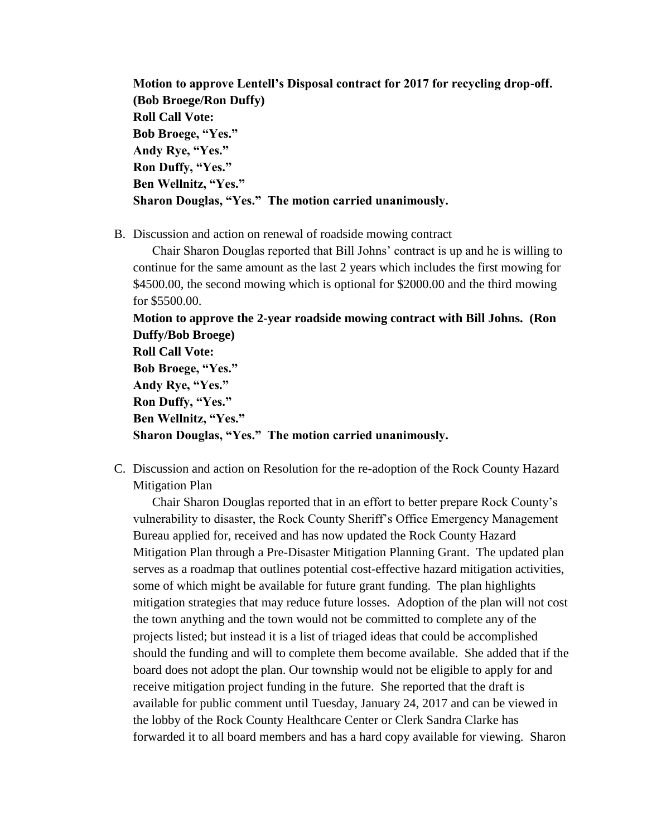**Motion to approve Lentell's Disposal contract for 2017 for recycling drop-off. (Bob Broege/Ron Duffy) Roll Call Vote: Bob Broege, "Yes." Andy Rye, "Yes." Ron Duffy, "Yes." Ben Wellnitz, "Yes." Sharon Douglas, "Yes." The motion carried unanimously.**

B. Discussion and action on renewal of roadside mowing contract

Chair Sharon Douglas reported that Bill Johns' contract is up and he is willing to continue for the same amount as the last 2 years which includes the first mowing for \$4500.00, the second mowing which is optional for \$2000.00 and the third mowing for \$5500.00.

**Motion to approve the 2-year roadside mowing contract with Bill Johns. (Ron Duffy/Bob Broege)** 

**Roll Call Vote: Bob Broege, "Yes." Andy Rye, "Yes." Ron Duffy, "Yes." Ben Wellnitz, "Yes." Sharon Douglas, "Yes." The motion carried unanimously.**

C. Discussion and action on Resolution for the re-adoption of the Rock County Hazard Mitigation Plan

Chair Sharon Douglas reported that in an effort to better prepare Rock County's vulnerability to disaster, the Rock County Sheriff's Office Emergency Management Bureau applied for, received and has now updated the Rock County Hazard Mitigation Plan through a Pre-Disaster Mitigation Planning Grant. The updated plan serves as a roadmap that outlines potential cost-effective hazard mitigation activities, some of which might be available for future grant funding. The plan highlights mitigation strategies that may reduce future losses. Adoption of the plan will not cost the town anything and the town would not be committed to complete any of the projects listed; but instead it is a list of triaged ideas that could be accomplished should the funding and will to complete them become available. She added that if the board does not adopt the plan. Our township would not be eligible to apply for and receive mitigation project funding in the future. She reported that the draft is available for public comment until Tuesday, January 24, 2017 and can be viewed in the lobby of the Rock County Healthcare Center or Clerk Sandra Clarke has forwarded it to all board members and has a hard copy available for viewing. Sharon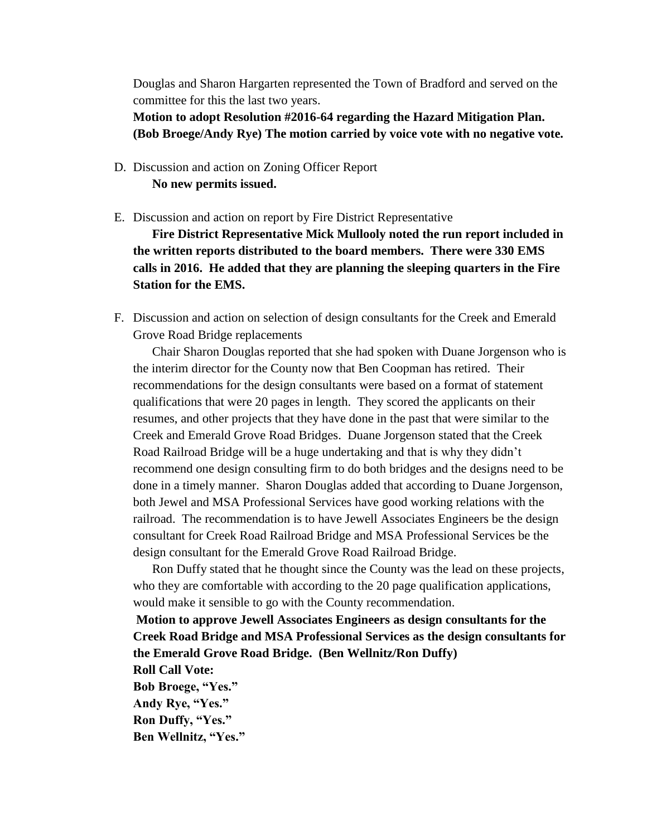Douglas and Sharon Hargarten represented the Town of Bradford and served on the committee for this the last two years.

**Motion to adopt Resolution #2016-64 regarding the Hazard Mitigation Plan. (Bob Broege/Andy Rye) The motion carried by voice vote with no negative vote.**

## D. Discussion and action on Zoning Officer Report **No new permits issued.**

E. Discussion and action on report by Fire District Representative

**Fire District Representative Mick Mullooly noted the run report included in the written reports distributed to the board members. There were 330 EMS calls in 2016. He added that they are planning the sleeping quarters in the Fire Station for the EMS.**

F. Discussion and action on selection of design consultants for the Creek and Emerald Grove Road Bridge replacements

Chair Sharon Douglas reported that she had spoken with Duane Jorgenson who is the interim director for the County now that Ben Coopman has retired. Their recommendations for the design consultants were based on a format of statement qualifications that were 20 pages in length. They scored the applicants on their resumes, and other projects that they have done in the past that were similar to the Creek and Emerald Grove Road Bridges. Duane Jorgenson stated that the Creek Road Railroad Bridge will be a huge undertaking and that is why they didn't recommend one design consulting firm to do both bridges and the designs need to be done in a timely manner. Sharon Douglas added that according to Duane Jorgenson, both Jewel and MSA Professional Services have good working relations with the railroad. The recommendation is to have Jewell Associates Engineers be the design consultant for Creek Road Railroad Bridge and MSA Professional Services be the design consultant for the Emerald Grove Road Railroad Bridge.

Ron Duffy stated that he thought since the County was the lead on these projects, who they are comfortable with according to the 20 page qualification applications, would make it sensible to go with the County recommendation.

**Motion to approve Jewell Associates Engineers as design consultants for the Creek Road Bridge and MSA Professional Services as the design consultants for the Emerald Grove Road Bridge. (Ben Wellnitz/Ron Duffy) Roll Call Vote: Bob Broege, "Yes." Andy Rye, "Yes." Ron Duffy, "Yes." Ben Wellnitz, "Yes."**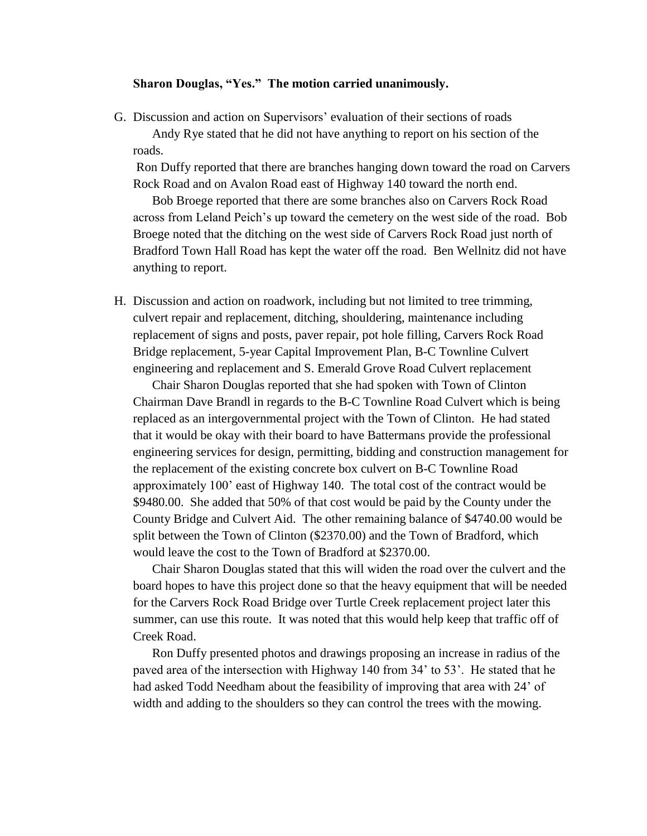## **Sharon Douglas, "Yes." The motion carried unanimously.**

G. Discussion and action on Supervisors' evaluation of their sections of roads Andy Rye stated that he did not have anything to report on his section of the roads.

Ron Duffy reported that there are branches hanging down toward the road on Carvers Rock Road and on Avalon Road east of Highway 140 toward the north end.

Bob Broege reported that there are some branches also on Carvers Rock Road across from Leland Peich's up toward the cemetery on the west side of the road. Bob Broege noted that the ditching on the west side of Carvers Rock Road just north of Bradford Town Hall Road has kept the water off the road. Ben Wellnitz did not have anything to report.

H. Discussion and action on roadwork, including but not limited to tree trimming, culvert repair and replacement, ditching, shouldering, maintenance including replacement of signs and posts, paver repair, pot hole filling, Carvers Rock Road Bridge replacement, 5-year Capital Improvement Plan, B-C Townline Culvert engineering and replacement and S. Emerald Grove Road Culvert replacement

Chair Sharon Douglas reported that she had spoken with Town of Clinton Chairman Dave Brandl in regards to the B-C Townline Road Culvert which is being replaced as an intergovernmental project with the Town of Clinton. He had stated that it would be okay with their board to have Battermans provide the professional engineering services for design, permitting, bidding and construction management for the replacement of the existing concrete box culvert on B-C Townline Road approximately 100' east of Highway 140. The total cost of the contract would be \$9480.00. She added that 50% of that cost would be paid by the County under the County Bridge and Culvert Aid. The other remaining balance of \$4740.00 would be split between the Town of Clinton (\$2370.00) and the Town of Bradford, which would leave the cost to the Town of Bradford at \$2370.00.

Chair Sharon Douglas stated that this will widen the road over the culvert and the board hopes to have this project done so that the heavy equipment that will be needed for the Carvers Rock Road Bridge over Turtle Creek replacement project later this summer, can use this route. It was noted that this would help keep that traffic off of Creek Road.

Ron Duffy presented photos and drawings proposing an increase in radius of the paved area of the intersection with Highway 140 from 34' to 53'. He stated that he had asked Todd Needham about the feasibility of improving that area with 24' of width and adding to the shoulders so they can control the trees with the mowing.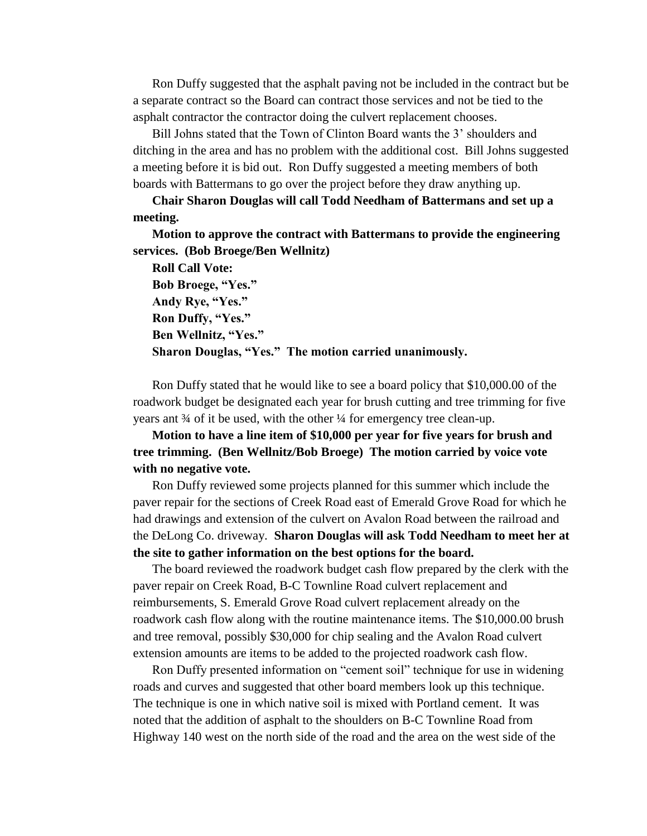Ron Duffy suggested that the asphalt paving not be included in the contract but be a separate contract so the Board can contract those services and not be tied to the asphalt contractor the contractor doing the culvert replacement chooses.

Bill Johns stated that the Town of Clinton Board wants the 3' shoulders and ditching in the area and has no problem with the additional cost. Bill Johns suggested a meeting before it is bid out. Ron Duffy suggested a meeting members of both boards with Battermans to go over the project before they draw anything up.

**Chair Sharon Douglas will call Todd Needham of Battermans and set up a meeting.** 

**Motion to approve the contract with Battermans to provide the engineering services. (Bob Broege/Ben Wellnitz)** 

**Roll Call Vote: Bob Broege, "Yes." Andy Rye, "Yes." Ron Duffy, "Yes." Ben Wellnitz, "Yes." Sharon Douglas, "Yes." The motion carried unanimously.**

Ron Duffy stated that he would like to see a board policy that \$10,000.00 of the roadwork budget be designated each year for brush cutting and tree trimming for five years ant ¾ of it be used, with the other ¼ for emergency tree clean-up.

**Motion to have a line item of \$10,000 per year for five years for brush and tree trimming. (Ben Wellnitz/Bob Broege) The motion carried by voice vote with no negative vote.**

Ron Duffy reviewed some projects planned for this summer which include the paver repair for the sections of Creek Road east of Emerald Grove Road for which he had drawings and extension of the culvert on Avalon Road between the railroad and the DeLong Co. driveway. **Sharon Douglas will ask Todd Needham to meet her at the site to gather information on the best options for the board.**

The board reviewed the roadwork budget cash flow prepared by the clerk with the paver repair on Creek Road, B-C Townline Road culvert replacement and reimbursements, S. Emerald Grove Road culvert replacement already on the roadwork cash flow along with the routine maintenance items. The \$10,000.00 brush and tree removal, possibly \$30,000 for chip sealing and the Avalon Road culvert extension amounts are items to be added to the projected roadwork cash flow.

Ron Duffy presented information on "cement soil" technique for use in widening roads and curves and suggested that other board members look up this technique. The technique is one in which native soil is mixed with Portland cement. It was noted that the addition of asphalt to the shoulders on B-C Townline Road from Highway 140 west on the north side of the road and the area on the west side of the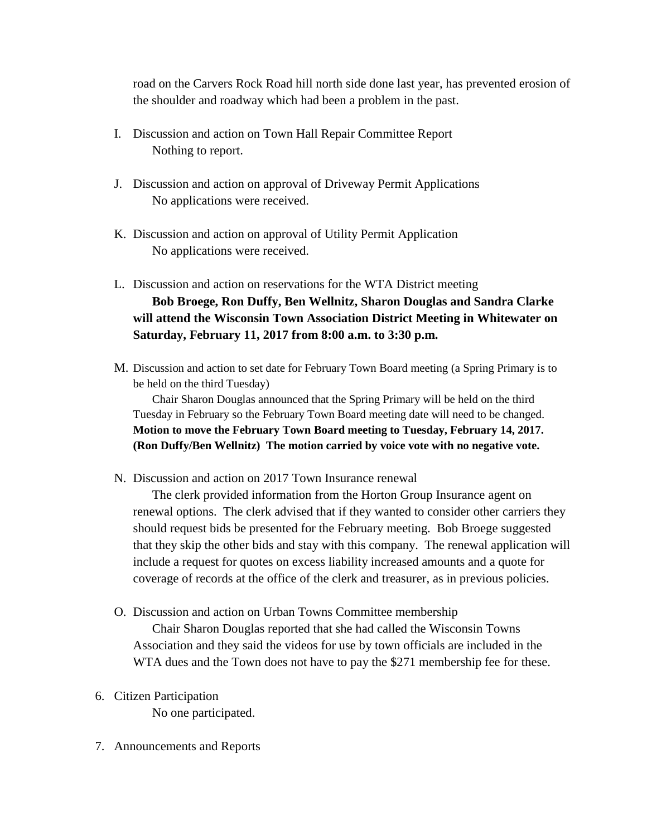road on the Carvers Rock Road hill north side done last year, has prevented erosion of the shoulder and roadway which had been a problem in the past.

- I. Discussion and action on Town Hall Repair Committee Report Nothing to report.
- J. Discussion and action on approval of Driveway Permit Applications No applications were received.
- K. Discussion and action on approval of Utility Permit Application No applications were received.
- L. Discussion and action on reservations for the WTA District meeting **Bob Broege, Ron Duffy, Ben Wellnitz, Sharon Douglas and Sandra Clarke will attend the Wisconsin Town Association District Meeting in Whitewater on Saturday, February 11, 2017 from 8:00 a.m. to 3:30 p.m.**
- M. Discussion and action to set date for February Town Board meeting (a Spring Primary is to be held on the third Tuesday)

Chair Sharon Douglas announced that the Spring Primary will be held on the third Tuesday in February so the February Town Board meeting date will need to be changed. **Motion to move the February Town Board meeting to Tuesday, February 14, 2017. (Ron Duffy/Ben Wellnitz) The motion carried by voice vote with no negative vote.**

N. Discussion and action on 2017 Town Insurance renewal

The clerk provided information from the Horton Group Insurance agent on renewal options. The clerk advised that if they wanted to consider other carriers they should request bids be presented for the February meeting. Bob Broege suggested that they skip the other bids and stay with this company. The renewal application will include a request for quotes on excess liability increased amounts and a quote for coverage of records at the office of the clerk and treasurer, as in previous policies.

O. Discussion and action on Urban Towns Committee membership

Chair Sharon Douglas reported that she had called the Wisconsin Towns Association and they said the videos for use by town officials are included in the WTA dues and the Town does not have to pay the \$271 membership fee for these.

6. Citizen Participation

No one participated.

7. Announcements and Reports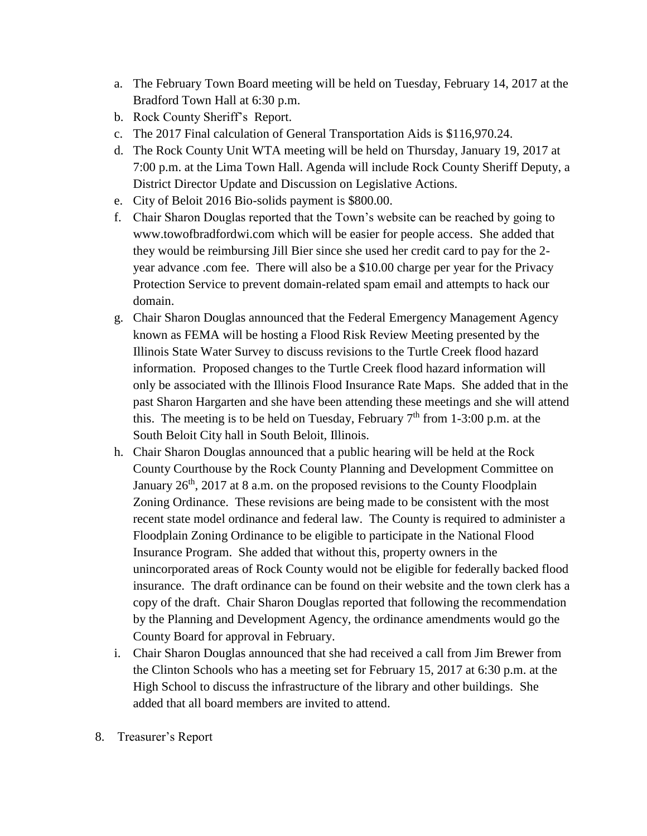- a. The February Town Board meeting will be held on Tuesday, February 14, 2017 at the Bradford Town Hall at 6:30 p.m.
- b. Rock County Sheriff's Report.
- c. The 2017 Final calculation of General Transportation Aids is \$116,970.24.
- d. The Rock County Unit WTA meeting will be held on Thursday, January 19, 2017 at 7:00 p.m. at the Lima Town Hall. Agenda will include Rock County Sheriff Deputy, a District Director Update and Discussion on Legislative Actions.
- e. City of Beloit 2016 Bio-solids payment is \$800.00.
- f. Chair Sharon Douglas reported that the Town's website can be reached by going to www.towofbradfordwi.com which will be easier for people access. She added that they would be reimbursing Jill Bier since she used her credit card to pay for the 2 year advance .com fee. There will also be a \$10.00 charge per year for the Privacy Protection Service to prevent domain-related spam email and attempts to hack our domain.
- g. Chair Sharon Douglas announced that the Federal Emergency Management Agency known as FEMA will be hosting a Flood Risk Review Meeting presented by the Illinois State Water Survey to discuss revisions to the Turtle Creek flood hazard information. Proposed changes to the Turtle Creek flood hazard information will only be associated with the Illinois Flood Insurance Rate Maps. She added that in the past Sharon Hargarten and she have been attending these meetings and she will attend this. The meeting is to be held on Tuesday, February  $7<sup>th</sup>$  from 1-3:00 p.m. at the South Beloit City hall in South Beloit, Illinois.
- h. Chair Sharon Douglas announced that a public hearing will be held at the Rock County Courthouse by the Rock County Planning and Development Committee on January  $26<sup>th</sup>$ , 2017 at 8 a.m. on the proposed revisions to the County Floodplain Zoning Ordinance. These revisions are being made to be consistent with the most recent state model ordinance and federal law. The County is required to administer a Floodplain Zoning Ordinance to be eligible to participate in the National Flood Insurance Program. She added that without this, property owners in the unincorporated areas of Rock County would not be eligible for federally backed flood insurance. The draft ordinance can be found on their website and the town clerk has a copy of the draft. Chair Sharon Douglas reported that following the recommendation by the Planning and Development Agency, the ordinance amendments would go the County Board for approval in February.
- i. Chair Sharon Douglas announced that she had received a call from Jim Brewer from the Clinton Schools who has a meeting set for February 15, 2017 at 6:30 p.m. at the High School to discuss the infrastructure of the library and other buildings. She added that all board members are invited to attend.
- 8. Treasurer's Report